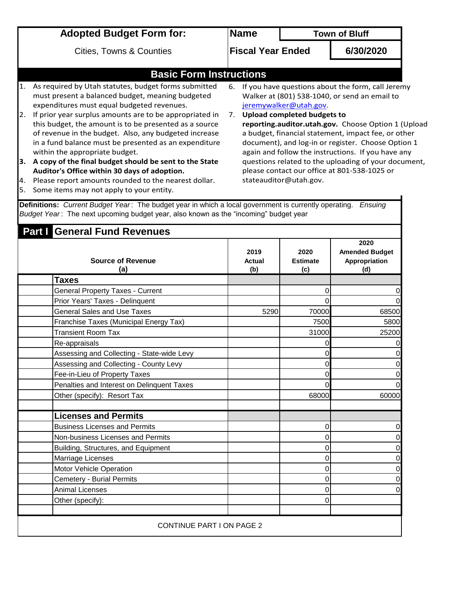|     | <b>Adopted Budget Form for:</b>                                                                                                                                                                                                                                                                                                      |                          | <b>Name</b>                                                                                                                                                                                                             |                                                              | <b>Town of Bluff</b>                                                                                                                                      |
|-----|--------------------------------------------------------------------------------------------------------------------------------------------------------------------------------------------------------------------------------------------------------------------------------------------------------------------------------------|--------------------------|-------------------------------------------------------------------------------------------------------------------------------------------------------------------------------------------------------------------------|--------------------------------------------------------------|-----------------------------------------------------------------------------------------------------------------------------------------------------------|
|     | <b>Cities, Towns &amp; Counties</b>                                                                                                                                                                                                                                                                                                  | <b>Fiscal Year Ended</b> |                                                                                                                                                                                                                         | 6/30/2020                                                    |                                                                                                                                                           |
|     | <b>Basic Form Instructions</b>                                                                                                                                                                                                                                                                                                       |                          |                                                                                                                                                                                                                         |                                                              |                                                                                                                                                           |
| 2.  | As required by Utah statutes, budget forms submitted<br>must present a balanced budget, meaning budgeted<br>expenditures must equal budgeted revenues.<br>If prior year surplus amounts are to be appropriated in<br>this budget, the amount is to be presented as a source<br>of revenue in the budget. Also, any budgeted increase | 6.<br>7 <sub>1</sub>     |                                                                                                                                                                                                                         | jeremywalker@utah.gov.<br><b>Upload completed budgets to</b> | If you have questions about the form, call Jeremy<br>Walker at (801) 538-1040, or send an email to<br>reporting.auditor.utah.gov. Choose Option 1 (Upload |
| l3. | in a fund balance must be presented as an expenditure<br>within the appropriate budget.<br>A copy of the final budget should be sent to the State                                                                                                                                                                                    |                          | a budget, financial statement, impact fee, or other<br>document), and log-in or register. Choose Option 1<br>again and follow the instructions. If you have any<br>questions related to the uploading of your document, |                                                              |                                                                                                                                                           |
| 4.  | Auditor's Office within 30 days of adoption.<br>Please report amounts rounded to the nearest dollar.                                                                                                                                                                                                                                 |                          |                                                                                                                                                                                                                         | stateauditor@utah.gov.                                       | please contact our office at 801-538-1025 or                                                                                                              |
| l5. | Some items may not apply to your entity.                                                                                                                                                                                                                                                                                             |                          |                                                                                                                                                                                                                         |                                                              |                                                                                                                                                           |

**Definitions:** *Current Budget Year* : The budget year in which a local government is currently operating. *Ensuing Budget Year* : The next upcoming budget year, also known as the "incoming" budget year

| <b>Part General Fund Revenues</b>          |                       |                                |                                                       |  |
|--------------------------------------------|-----------------------|--------------------------------|-------------------------------------------------------|--|
| <b>Source of Revenue</b><br>(a)            | 2019<br>Actual<br>(b) | 2020<br><b>Estimate</b><br>(c) | 2020<br><b>Amended Budget</b><br>Appropriation<br>(d) |  |
| <b>Taxes</b>                               |                       |                                |                                                       |  |
| <b>General Property Taxes - Current</b>    |                       | 0                              | $\pmb{0}$                                             |  |
| Prior Years' Taxes - Delinquent            |                       | 0                              | $\mathbf 0$                                           |  |
| <b>General Sales and Use Taxes</b>         | 5290                  | 70000                          | 68500                                                 |  |
| Franchise Taxes (Municipal Energy Tax)     |                       | 7500                           | 5800                                                  |  |
| <b>Transient Room Tax</b>                  |                       | 31000                          | 25200                                                 |  |
| Re-appraisals                              |                       | 0                              | $\pmb{0}$                                             |  |
| Assessing and Collecting - State-wide Levy |                       | $\overline{0}$                 | $\mathbf 0$                                           |  |
| Assessing and Collecting - County Levy     |                       | $\Omega$                       | $\pmb{0}$                                             |  |
| Fee-in-Lieu of Property Taxes              |                       | $\overline{0}$                 | $\pmb{0}$                                             |  |
| Penalties and Interest on Delinquent Taxes |                       | 0                              | $\overline{0}$                                        |  |
| Other (specify): Resort Tax                |                       | 68000                          | 60000                                                 |  |
| <b>Licenses and Permits</b>                |                       |                                |                                                       |  |
| <b>Business Licenses and Permits</b>       |                       | $\Omega$                       | $\pmb{0}$                                             |  |
| Non-business Licenses and Permits          |                       | $\mathbf 0$                    | $\mathbf 0$                                           |  |
| Building, Structures, and Equipment        |                       | $\mathbf 0$                    | $\mathbf 0$                                           |  |
| Marriage Licenses                          |                       | 0                              | $\mathbf 0$                                           |  |
| Motor Vehicle Operation                    |                       | $\mathbf 0$                    | $\overline{0}$                                        |  |
| <b>Cemetery - Burial Permits</b>           |                       | 0                              | $\mathbf 0$                                           |  |
| <b>Animal Licenses</b>                     |                       | $\mathbf 0$                    | $\mathbf 0$                                           |  |
| Other (specify):                           |                       | 0                              |                                                       |  |
| CONTINUE PART I ON PAGE 2                  |                       |                                |                                                       |  |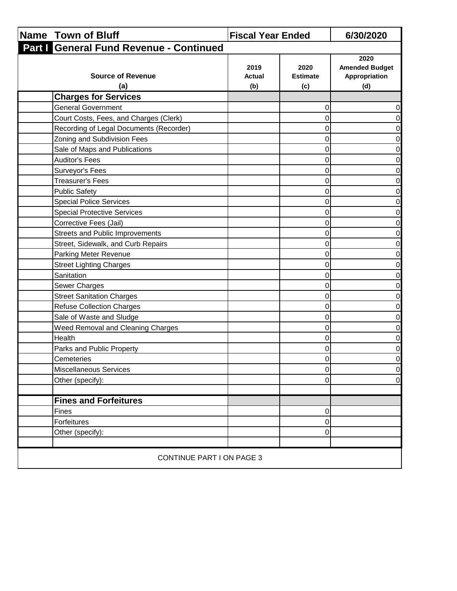| Name Town of Bluff                      | <b>Fiscal Year Ended</b>     |                                | 6/30/2020                                             |
|-----------------------------------------|------------------------------|--------------------------------|-------------------------------------------------------|
| Part   General Fund Revenue - Continued |                              |                                |                                                       |
| <b>Source of Revenue</b><br>(a)         | 2019<br><b>Actual</b><br>(b) | 2020<br><b>Estimate</b><br>(c) | 2020<br><b>Amended Budget</b><br>Appropriation<br>(d) |
| <b>Charges for Services</b>             |                              |                                |                                                       |
| <b>General Government</b>               |                              | 0                              | 0                                                     |
| Court Costs, Fees, and Charges (Clerk)  |                              | $\mathbf 0$                    | 0                                                     |
| Recording of Legal Documents (Recorder) |                              | 0                              | 0                                                     |
| Zoning and Subdivision Fees             |                              | 0                              | $\pmb{0}$                                             |
| Sale of Maps and Publications           |                              | $\mathbf 0$                    | 0                                                     |
| <b>Auditor's Fees</b>                   |                              | $\mathbf 0$                    | 0                                                     |
| Surveyor's Fees                         |                              | 0                              | $\pmb{0}$                                             |
| <b>Treasurer's Fees</b>                 |                              | 0                              | 0                                                     |
| <b>Public Safety</b>                    |                              | $\pmb{0}$                      | $\pmb{0}$                                             |
| <b>Special Police Services</b>          |                              | $\mathbf 0$                    | 0                                                     |
| <b>Special Protective Services</b>      |                              | $\mathbf 0$                    | 0                                                     |
| Corrective Fees (Jail)                  |                              | 0                              | $\pmb{0}$                                             |
| <b>Streets and Public Improvements</b>  |                              | 0                              | $\pmb{0}$                                             |
| Street, Sidewalk, and Curb Repairs      |                              | 0                              | 0                                                     |
| Parking Meter Revenue                   |                              | $\pmb{0}$                      | $\pmb{0}$                                             |
| <b>Street Lighting Charges</b>          |                              | $\mathbf 0$                    | 0                                                     |
| Sanitation                              |                              | $\mathbf 0$                    | 0                                                     |
| Sewer Charges                           |                              | $\mathbf 0$                    | $\pmb{0}$                                             |
| <b>Street Sanitation Charges</b>        |                              | $\mathbf 0$                    | 0                                                     |
| <b>Refuse Collection Charges</b>        |                              | 0                              | 0                                                     |
| Sale of Waste and Sludge                |                              | $\mathbf 0$                    | $\pmb{0}$                                             |
| Weed Removal and Cleaning Charges       |                              | $\mathbf 0$                    | 0                                                     |
| Health                                  |                              | $\mathbf 0$                    | 0                                                     |
| Parks and Public Property               |                              | $\pmb{0}$                      | $\pmb{0}$                                             |
| Cemeteries                              |                              | $\mathbf 0$                    | $\overline{0}$                                        |
| Miscellaneous Services                  |                              | $\mathbf 0$                    | $\overline{0}$                                        |
| Other (specify):                        |                              | $\pmb{0}$                      | $\overline{0}$                                        |
| <b>Fines and Forfeitures</b>            |                              |                                |                                                       |
| Fines                                   |                              | 0                              |                                                       |
| Forfeitures                             |                              | $\pmb{0}$                      |                                                       |
| Other (specify):                        |                              | $\mathsf 0$                    |                                                       |
|                                         |                              |                                |                                                       |
| CONTINUE PART I ON PAGE 3               |                              |                                |                                                       |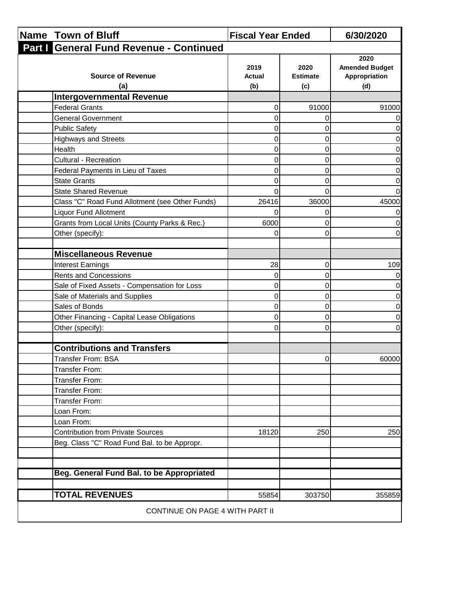| <b>Name Town of Bluff</b>                       | <b>Fiscal Year Ended</b>     |                                | 6/30/2020                                             |
|-------------------------------------------------|------------------------------|--------------------------------|-------------------------------------------------------|
| Part I General Fund Revenue - Continued         |                              |                                |                                                       |
| <b>Source of Revenue</b><br>(a)                 | 2019<br><b>Actual</b><br>(b) | 2020<br><b>Estimate</b><br>(c) | 2020<br><b>Amended Budget</b><br>Appropriation<br>(d) |
| <b>Intergovernmental Revenue</b>                |                              |                                |                                                       |
| <b>Federal Grants</b>                           | 0                            | 91000                          | 91000                                                 |
| <b>General Government</b>                       | 0                            | 0                              |                                                       |
| <b>Public Safety</b>                            | 0                            | 0                              |                                                       |
| <b>Highways and Streets</b>                     | 0                            | $\Omega$                       | 0                                                     |
| Health                                          | 0                            | 0                              | 0                                                     |
| <b>Cultural - Recreation</b>                    | 0                            | 0                              | 0                                                     |
| Federal Payments in Lieu of Taxes               | $\Omega$                     | $\Omega$                       |                                                       |
| <b>State Grants</b>                             | 0                            | 0                              | 0                                                     |
| <b>State Shared Revenue</b>                     | $\Omega$                     | $\Omega$                       |                                                       |
| Class "C" Road Fund Allotment (see Other Funds) | 26416                        | 36000                          | 45000                                                 |
| <b>Liquor Fund Allotment</b>                    | 0                            | 0                              |                                                       |
| Grants from Local Units (County Parks & Rec.)   | 6000                         | 0                              | 0                                                     |
| Other (specify):                                | 0                            | $\Omega$                       | 0                                                     |
|                                                 |                              |                                |                                                       |
| <b>Miscellaneous Revenue</b>                    |                              |                                |                                                       |
| <b>Interest Earnings</b>                        | 28                           | $\mathbf 0$                    | 109                                                   |
| <b>Rents and Concessions</b>                    | 0                            | 0                              |                                                       |
| Sale of Fixed Assets - Compensation for Loss    | 0                            | 0                              | 0                                                     |
| Sale of Materials and Supplies                  | 0                            | $\mathbf 0$                    | 0                                                     |
| Sales of Bonds                                  | $\mathsf 0$                  | $\mathbf 0$                    | 0                                                     |
| Other Financing - Capital Lease Obligations     | 0                            | 0                              | 0                                                     |
| Other (specify):                                | 0                            | $\overline{0}$                 | 0                                                     |
|                                                 |                              |                                |                                                       |
| <b>Contributions and Transfers</b>              |                              |                                |                                                       |
| <b>Transfer From: BSA</b>                       |                              | 0                              | 60000                                                 |
| Transfer From:                                  |                              |                                |                                                       |
| <b>Transfer From:</b>                           |                              |                                |                                                       |
| Transfer From:                                  |                              |                                |                                                       |
| Transfer From:                                  |                              |                                |                                                       |
| Loan From:                                      |                              |                                |                                                       |
| Loan From:                                      |                              |                                |                                                       |
| <b>Contribution from Private Sources</b>        | 18120                        | 250                            | 250                                                   |
| Beg. Class "C" Road Fund Bal. to be Appropr.    |                              |                                |                                                       |
| Beg. General Fund Bal. to be Appropriated       |                              |                                |                                                       |
| <b>TOTAL REVENUES</b>                           | 55854                        | 303750                         | 355859                                                |
| CONTINUE ON PAGE 4 WITH PART II                 |                              |                                |                                                       |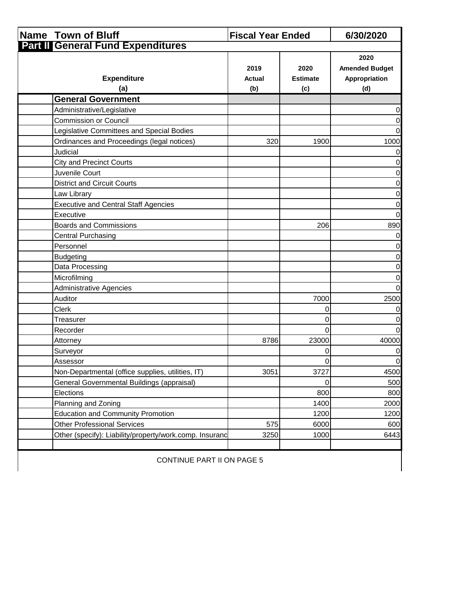|                                   | <b>Name Town of Bluff</b>                               | <b>Fiscal Year Ended</b> |                                | 6/30/2020                                             |  |
|-----------------------------------|---------------------------------------------------------|--------------------------|--------------------------------|-------------------------------------------------------|--|
|                                   | <b>Part II General Fund Expenditures</b>                |                          |                                |                                                       |  |
|                                   | <b>Expenditure</b><br>(a)                               | 2019<br>Actual<br>(b)    | 2020<br><b>Estimate</b><br>(c) | 2020<br><b>Amended Budget</b><br>Appropriation<br>(d) |  |
|                                   | <b>General Government</b>                               |                          |                                |                                                       |  |
|                                   | Administrative/Legislative                              |                          |                                | 0                                                     |  |
|                                   | <b>Commission or Council</b>                            |                          |                                | 0                                                     |  |
|                                   | Legislative Committees and Special Bodies               |                          |                                | $\overline{0}$                                        |  |
|                                   | Ordinances and Proceedings (legal notices)              | 320                      | 1900                           | 1000                                                  |  |
|                                   | Judicial                                                |                          |                                | 0                                                     |  |
|                                   | <b>City and Precinct Courts</b>                         |                          |                                | 0                                                     |  |
|                                   | Juvenile Court                                          |                          |                                | $\boldsymbol{0}$                                      |  |
|                                   | <b>District and Circuit Courts</b>                      |                          |                                | $\overline{0}$                                        |  |
|                                   | Law Library                                             |                          |                                | 0                                                     |  |
|                                   | <b>Executive and Central Staff Agencies</b>             |                          |                                | $\pmb{0}$                                             |  |
|                                   | Executive                                               |                          |                                | $\overline{O}$                                        |  |
|                                   | <b>Boards and Commissions</b>                           |                          | 206                            | 890                                                   |  |
|                                   | <b>Central Purchasing</b>                               |                          |                                | $\overline{0}$                                        |  |
|                                   | Personnel                                               |                          |                                | $\overline{0}$                                        |  |
|                                   | <b>Budgeting</b>                                        |                          |                                | 0                                                     |  |
|                                   | Data Processing                                         |                          |                                | $\pmb{0}$                                             |  |
|                                   | Microfilming                                            |                          |                                | 0                                                     |  |
|                                   | <b>Administrative Agencies</b>                          |                          |                                | $\overline{0}$                                        |  |
|                                   | Auditor                                                 |                          | 7000                           | 2500                                                  |  |
|                                   | Clerk                                                   |                          | 0                              | 0                                                     |  |
|                                   | Treasurer                                               |                          | 0                              | 0                                                     |  |
|                                   | Recorder                                                |                          | 0                              | $\mathbf 0$                                           |  |
|                                   | Attorney                                                | 8786                     | 23000                          | 40000                                                 |  |
|                                   | Surveyor                                                |                          | 0                              | 0                                                     |  |
|                                   | Assessor                                                |                          | 0 <sup>1</sup>                 | $\overline{0}$                                        |  |
|                                   | Non-Departmental (office supplies, utilities, IT)       | 3051                     | 3727                           | 4500                                                  |  |
|                                   | General Governmental Buildings (appraisal)              |                          | 0                              | 500                                                   |  |
|                                   | Elections                                               |                          | 800                            | 800                                                   |  |
|                                   | Planning and Zoning                                     |                          | 1400                           | 2000                                                  |  |
|                                   | <b>Education and Community Promotion</b>                |                          | 1200                           | 1200                                                  |  |
|                                   | <b>Other Professional Services</b>                      | 575                      | 6000                           | 600                                                   |  |
|                                   | Other (specify): Liability/property/work.comp. Insuranc | 3250                     | 1000                           | 6443                                                  |  |
|                                   |                                                         |                          |                                |                                                       |  |
| <b>CONTINUE PART II ON PAGE 5</b> |                                                         |                          |                                |                                                       |  |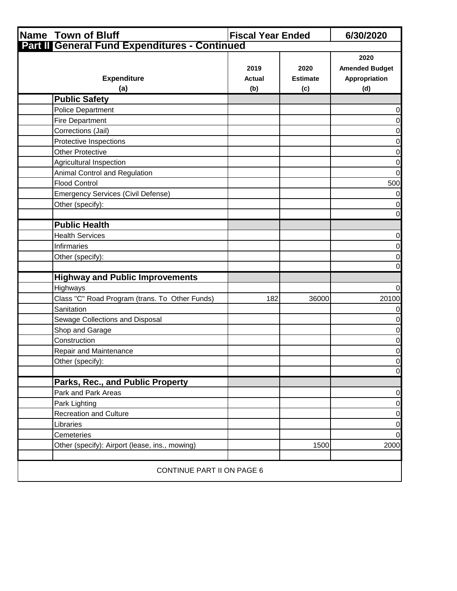| Name Town of Bluff                                   | <b>Fiscal Year Ended</b> |                                | 6/30/2020                                             |
|------------------------------------------------------|--------------------------|--------------------------------|-------------------------------------------------------|
| <b>Part II General Fund Expenditures - Continued</b> |                          |                                |                                                       |
| <b>Expenditure</b><br>(a)                            | 2019<br>Actual<br>(b)    | 2020<br><b>Estimate</b><br>(c) | 2020<br><b>Amended Budget</b><br>Appropriation<br>(d) |
| <b>Public Safety</b>                                 |                          |                                |                                                       |
| <b>Police Department</b>                             |                          |                                | 0                                                     |
| <b>Fire Department</b>                               |                          |                                | $\boldsymbol{0}$                                      |
| Corrections (Jail)                                   |                          |                                | 0                                                     |
| Protective Inspections                               |                          |                                | 0                                                     |
| <b>Other Protective</b>                              |                          |                                | $\boldsymbol{0}$                                      |
| Agricultural Inspection                              |                          |                                | 0                                                     |
| Animal Control and Regulation                        |                          |                                | 0                                                     |
| <b>Flood Control</b>                                 |                          |                                | 500                                                   |
| <b>Emergency Services (Civil Defense)</b>            |                          |                                | 0                                                     |
| Other (specify):                                     |                          |                                | 0                                                     |
|                                                      |                          |                                | $\Omega$                                              |
| <b>Public Health</b>                                 |                          |                                |                                                       |
| <b>Health Services</b>                               |                          |                                | 0                                                     |
| <b>Infirmaries</b>                                   |                          |                                | 0                                                     |
| Other (specify):                                     |                          |                                | 0                                                     |
|                                                      |                          |                                | 0                                                     |
| <b>Highway and Public Improvements</b>               |                          |                                |                                                       |
| Highways                                             |                          |                                | 0                                                     |
| Class "C" Road Program (trans. To Other Funds)       | 182                      | 36000                          | 20100                                                 |
| Sanitation                                           |                          |                                | 0                                                     |
| Sewage Collections and Disposal                      |                          |                                | 0                                                     |
| Shop and Garage                                      |                          |                                | 0                                                     |
| Construction                                         |                          |                                | 0                                                     |
| Repair and Maintenance                               |                          |                                | 0                                                     |
| Other (specify):                                     |                          |                                | $\overline{0}$                                        |
|                                                      |                          |                                | $\overline{0}$                                        |
| Parks, Rec., and Public Property                     |                          |                                |                                                       |
| Park and Park Areas                                  |                          |                                | $\boldsymbol{0}$                                      |
| Park Lighting                                        |                          |                                | $\overline{0}$                                        |
| <b>Recreation and Culture</b>                        |                          |                                | $\boldsymbol{0}$                                      |
| Libraries                                            |                          |                                | $\pmb{0}$                                             |
| Cemeteries                                           |                          |                                | $\overline{0}$                                        |
| Other (specify): Airport (lease, ins., mowing)       |                          | 1500                           | 2000                                                  |
|                                                      |                          |                                |                                                       |
| CONTINUE PART II ON PAGE 6                           |                          |                                |                                                       |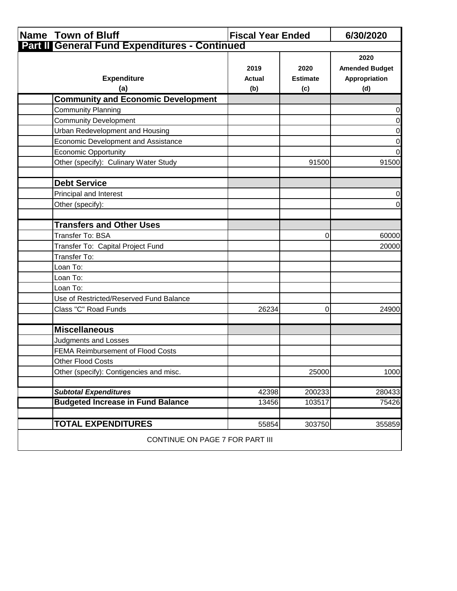| <b>Name Town of Bluff</b>                     | <b>Fiscal Year Ended</b>     |                                | 6/30/2020                                             |  |
|-----------------------------------------------|------------------------------|--------------------------------|-------------------------------------------------------|--|
| Part II General Fund Expenditures - Continued |                              |                                |                                                       |  |
| <b>Expenditure</b><br>(a)                     | 2019<br><b>Actual</b><br>(b) | 2020<br><b>Estimate</b><br>(c) | 2020<br><b>Amended Budget</b><br>Appropriation<br>(d) |  |
| <b>Community and Economic Development</b>     |                              |                                |                                                       |  |
| <b>Community Planning</b>                     |                              |                                | $\pmb{0}$                                             |  |
| <b>Community Development</b>                  |                              |                                | $\overline{0}$                                        |  |
| Urban Redevelopment and Housing               |                              |                                | $\pmb{0}$                                             |  |
| Economic Development and Assistance           |                              |                                | $\overline{0}$                                        |  |
| <b>Economic Opportunity</b>                   |                              |                                | $\overline{0}$                                        |  |
| Other (specify): Culinary Water Study         |                              | 91500                          | 91500                                                 |  |
| <b>Debt Service</b>                           |                              |                                |                                                       |  |
| Principal and Interest                        |                              |                                | $\pmb{0}$                                             |  |
| Other (specify):                              |                              |                                | $\overline{0}$                                        |  |
| <b>Transfers and Other Uses</b>               |                              |                                |                                                       |  |
| Transfer To: BSA                              |                              | 0                              | 60000                                                 |  |
| Transfer To: Capital Project Fund             |                              |                                | 20000                                                 |  |
| Transfer To:                                  |                              |                                |                                                       |  |
| Loan To:                                      |                              |                                |                                                       |  |
| Loan To:                                      |                              |                                |                                                       |  |
| Loan To:                                      |                              |                                |                                                       |  |
| Use of Restricted/Reserved Fund Balance       |                              |                                |                                                       |  |
| Class "C" Road Funds                          | 26234                        | 0                              | 24900                                                 |  |
| <b>Miscellaneous</b>                          |                              |                                |                                                       |  |
| <b>Judgments and Losses</b>                   |                              |                                |                                                       |  |
| FEMA Reimbursement of Flood Costs             |                              |                                |                                                       |  |
| Other Flood Costs                             |                              |                                |                                                       |  |
| Other (specify): Contigencies and misc.       |                              | 25000                          | 1000                                                  |  |
| <b>Subtotal Expenditures</b>                  | 42398                        | 200233                         | 280433                                                |  |
| <b>Budgeted Increase in Fund Balance</b>      | 13456                        | 103517                         | 75426                                                 |  |
| <b>TOTAL EXPENDITURES</b>                     | 55854                        | 303750                         | 355859                                                |  |
| CONTINUE ON PAGE 7 FOR PART III               |                              |                                |                                                       |  |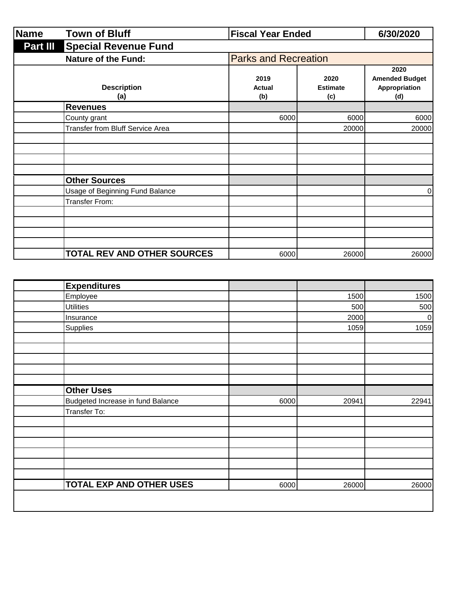| Name            | <b>Town of Bluff</b><br><b>Fiscal Year Ended</b> |                              | 6/30/2020                      |                                                       |
|-----------------|--------------------------------------------------|------------------------------|--------------------------------|-------------------------------------------------------|
| <b>Part III</b> | <b>Special Revenue Fund</b>                      |                              |                                |                                                       |
|                 | <b>Nature of the Fund:</b>                       | <b>Parks and Recreation</b>  |                                |                                                       |
|                 | <b>Description</b><br>(a)                        | 2019<br><b>Actual</b><br>(b) | 2020<br><b>Estimate</b><br>(c) | 2020<br><b>Amended Budget</b><br>Appropriation<br>(d) |
|                 | <b>Revenues</b>                                  |                              |                                |                                                       |
|                 | County grant                                     | 6000                         | 6000                           | 6000                                                  |
|                 | Transfer from Bluff Service Area                 |                              | 20000                          | 20000                                                 |
|                 |                                                  |                              |                                |                                                       |
|                 | <b>Other Sources</b>                             |                              |                                |                                                       |
|                 | Usage of Beginning Fund Balance                  |                              |                                | 0                                                     |
|                 | Transfer From:                                   |                              |                                |                                                       |
|                 |                                                  |                              |                                |                                                       |
|                 |                                                  |                              |                                |                                                       |
|                 |                                                  |                              |                                |                                                       |
|                 | TOTAL REV AND OTHER SOURCES                      | 6000                         | 26000                          | 26000                                                 |

| <b>Expenditures</b>               |      |       |                  |
|-----------------------------------|------|-------|------------------|
| Employee                          |      | 1500  | 1500             |
| <b>Utilities</b>                  |      | 500   | 500              |
| Insurance                         |      | 2000  | $\boldsymbol{0}$ |
| Supplies                          |      | 1059  | 1059             |
|                                   |      |       |                  |
|                                   |      |       |                  |
|                                   |      |       |                  |
|                                   |      |       |                  |
|                                   |      |       |                  |
| <b>Other Uses</b>                 |      |       |                  |
| Budgeted Increase in fund Balance | 6000 | 20941 | 22941            |
| Transfer To:                      |      |       |                  |
|                                   |      |       |                  |
|                                   |      |       |                  |
|                                   |      |       |                  |
|                                   |      |       |                  |
|                                   |      |       |                  |
|                                   |      |       |                  |
| <b>TOTAL EXP AND OTHER USES</b>   | 6000 | 26000 | 26000            |
|                                   |      |       |                  |
|                                   |      |       |                  |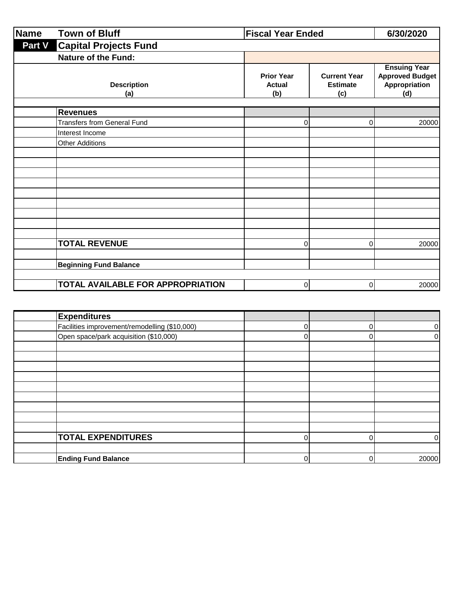| Name          | <b>Town of Bluff</b>                     | <b>Fiscal Year Ended</b>                  |                                               | 6/30/2020                                                             |
|---------------|------------------------------------------|-------------------------------------------|-----------------------------------------------|-----------------------------------------------------------------------|
| <b>Part V</b> | <b>Capital Projects Fund</b>             |                                           |                                               |                                                                       |
|               | Nature of the Fund:                      |                                           |                                               |                                                                       |
|               | <b>Description</b><br>(a)                | <b>Prior Year</b><br><b>Actual</b><br>(b) | <b>Current Year</b><br><b>Estimate</b><br>(c) | <b>Ensuing Year</b><br><b>Approved Budget</b><br>Appropriation<br>(d) |
|               | <b>Revenues</b>                          |                                           |                                               |                                                                       |
|               | <b>Transfers from General Fund</b>       | 0                                         | 0                                             | 20000                                                                 |
|               | Interest Income                          |                                           |                                               |                                                                       |
|               | <b>Other Additions</b>                   |                                           |                                               |                                                                       |
|               |                                          |                                           |                                               |                                                                       |
|               |                                          |                                           |                                               |                                                                       |
|               |                                          |                                           |                                               |                                                                       |
|               |                                          |                                           |                                               |                                                                       |
|               |                                          |                                           |                                               |                                                                       |
|               |                                          |                                           |                                               |                                                                       |
|               |                                          |                                           |                                               |                                                                       |
|               |                                          |                                           |                                               |                                                                       |
|               | <b>TOTAL REVENUE</b>                     | $\Omega$                                  | 0                                             | 20000                                                                 |
|               |                                          |                                           |                                               |                                                                       |
|               | <b>Beginning Fund Balance</b>            |                                           |                                               |                                                                       |
|               |                                          |                                           |                                               |                                                                       |
|               | <b>TOTAL AVAILABLE FOR APPROPRIATION</b> | $\Omega$                                  | 0                                             | 20000                                                                 |

| <b>Expenditures</b>                           |  |       |
|-----------------------------------------------|--|-------|
| Facilities improvement/remodelling (\$10,000) |  |       |
| Open space/park acquisition (\$10,000)        |  |       |
|                                               |  |       |
|                                               |  |       |
|                                               |  |       |
|                                               |  |       |
|                                               |  |       |
|                                               |  |       |
|                                               |  |       |
|                                               |  |       |
|                                               |  |       |
| <b>TOTAL EXPENDITURES</b>                     |  |       |
|                                               |  |       |
| <b>Ending Fund Balance</b>                    |  | 20000 |